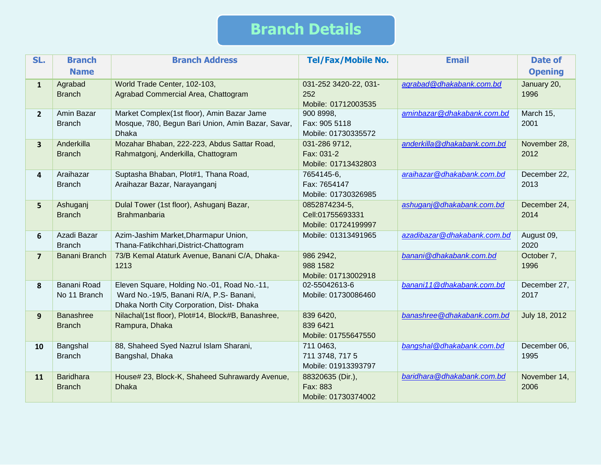## **Branch Details**

| SL.                     | <b>Branch</b> | <b>Branch Address</b>                             | <b>Tel/Fax/Mobile No.</b> | <b>Email</b>                | <b>Date of</b> |
|-------------------------|---------------|---------------------------------------------------|---------------------------|-----------------------------|----------------|
|                         | <b>Name</b>   |                                                   |                           |                             | <b>Opening</b> |
| $\mathbf{1}$            | Agrabad       | World Trade Center, 102-103,                      | 031-252 3420-22, 031-     | agrabad@dhakabank.com.bd    | January 20,    |
|                         | <b>Branch</b> | Agrabad Commercial Area, Chattogram               | 252                       |                             | 1996           |
|                         |               |                                                   | Mobile: 01712003535       |                             |                |
| $2^{\circ}$             | Amin Bazar    | Market Complex(1st floor), Amin Bazar Jame        | 900 8998,                 | aminbazar@dhakabank.com.bd  | March 15,      |
|                         | <b>Branch</b> | Mosque, 780, Begun Bari Union, Amin Bazar, Savar, | Fax: 905 5118             |                             | 2001           |
|                         |               | <b>Dhaka</b>                                      | Mobile: 01730335572       |                             |                |
| $\overline{\mathbf{3}}$ | Anderkilla    | Mozahar Bhaban, 222-223, Abdus Sattar Road,       | 031-286 9712,             | anderkilla@dhakabank.com.bd | November 28,   |
|                         | <b>Branch</b> | Rahmatgonj, Anderkilla, Chattogram                | Fax: 031-2                |                             | 2012           |
|                         |               |                                                   | Mobile: 01713432803       |                             |                |
| 4                       | Araihazar     | Suptasha Bhaban, Plot#1, Thana Road,              | 7654145-6,                | araihazar@dhakabank.com.bd  | December 22,   |
|                         | <b>Branch</b> | Araihazar Bazar, Narayanganj                      | Fax: 7654147              |                             | 2013           |
|                         |               |                                                   | Mobile: 01730326985       |                             |                |
| 5 <sup>1</sup>          | Ashuganj      | Dulal Tower (1st floor), Ashuganj Bazar,          | 0852874234-5,             | ashuganj@dhakabank.com.bd   | December 24,   |
|                         | <b>Branch</b> | <b>Brahmanbaria</b>                               | Cell:01755693331          |                             | 2014           |
|                         |               |                                                   | Mobile: 01724199997       |                             |                |
| 6                       | Azadi Bazar   | Azim-Jashim Market, Dharmapur Union,              | Mobile: 01313491965       | azadibazar@dhakabank.com.bd | August 09,     |
|                         | <b>Branch</b> | Thana-Fatikchhari, District-Chattogram            |                           |                             | 2020           |
| $\overline{7}$          | Banani Branch | 73/B Kemal Ataturk Avenue, Banani C/A, Dhaka-     | 986 2942,                 | banani@dhakabank.com.bd     | October 7,     |
|                         |               | 1213                                              | 988 1582                  |                             | 1996           |
|                         |               |                                                   | Mobile: 01713002918       |                             |                |
| 8                       | Banani Road   | Eleven Square, Holding No.-01, Road No.-11,       | 02-55042613-6             | banani11@dhakabank.com.bd   | December 27,   |
|                         | No 11 Branch  | Ward No.-19/5, Banani R/A, P.S- Banani,           | Mobile: 01730086460       |                             | 2017           |
|                         |               | Dhaka North City Corporation, Dist- Dhaka         |                           |                             |                |
| 9                       | Banashree     | Nilachal(1st floor), Plot#14, Block#B, Banashree, | 839 6420,                 | banashree@dhakabank.com.bd  | July 18, 2012  |
|                         | <b>Branch</b> | Rampura, Dhaka                                    | 839 6421                  |                             |                |
|                         |               |                                                   | Mobile: 01755647550       |                             |                |
| 10                      | Bangshal      | 88, Shaheed Syed Nazrul Islam Sharani,            | 711 0463,                 | bangshal@dhakabank.com.bd   | December 06,   |
|                         | <b>Branch</b> | Bangshal, Dhaka                                   | 711 3748, 717 5           |                             | 1995           |
|                         |               |                                                   | Mobile: 01913393797       |                             |                |
| 11                      | Baridhara     | House# 23, Block-K, Shaheed Suhrawardy Avenue,    | 88320635 (Dir.),          | baridhara@dhakabank.com.bd  | November 14,   |
|                         | <b>Branch</b> | <b>Dhaka</b>                                      | Fax: 883                  |                             | 2006           |
|                         |               |                                                   | Mobile: 01730374002       |                             |                |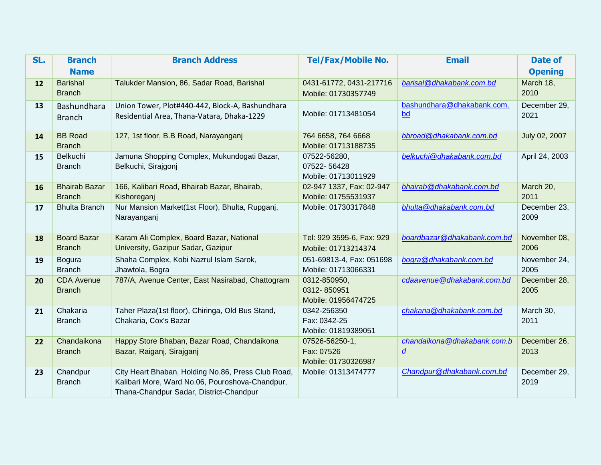| SL. | <b>Branch</b>        | <b>Branch Address</b>                                                          | <b>Tel/Fax/Mobile No.</b>          | <b>Email</b>                | <b>Date of</b>       |
|-----|----------------------|--------------------------------------------------------------------------------|------------------------------------|-----------------------------|----------------------|
|     | <b>Name</b>          |                                                                                |                                    |                             | <b>Opening</b>       |
| 12  | <b>Barishal</b>      | Talukder Mansion, 86, Sadar Road, Barishal                                     | 0431-61772, 0431-217716            | barisal@dhakabank.com.bd    | March 18,            |
|     | <b>Branch</b>        |                                                                                | Mobile: 01730357749                |                             | 2010                 |
| 13  | Bashundhara          | Union Tower, Plot#440-442, Block-A, Bashundhara                                |                                    | bashundhara@dhakabank.com.  | December 29,         |
|     | <b>Branch</b>        | Residential Area, Thana-Vatara, Dhaka-1229                                     | Mobile: 01713481054                | bd                          | 2021                 |
| 14  | <b>BB Road</b>       | 127, 1st floor, B.B Road, Narayanganj                                          | 764 6658, 764 6668                 | bbroad@dhakabank.com.bd     | July 02, 2007        |
|     | <b>Branch</b>        |                                                                                | Mobile: 01713188735                |                             |                      |
| 15  | <b>Belkuchi</b>      | Jamuna Shopping Complex, Mukundogati Bazar,                                    | 07522-56280,                       | belkuchi@dhakabank.com.bd   | April 24, 2003       |
|     | <b>Branch</b>        | Belkuchi, Sirajgonj                                                            | 07522-56428<br>Mobile: 01713011929 |                             |                      |
| 16  | <b>Bhairab Bazar</b> | 166, Kalibari Road, Bhairab Bazar, Bhairab,                                    | 02-947 1337, Fax: 02-947           | bhairab@dhakabank.com.bd    | March 20,            |
|     | <b>Branch</b>        | Kishoreganj                                                                    | Mobile: 01755531937                |                             | 2011                 |
| 17  | <b>Bhulta Branch</b> | Nur Mansion Market(1st Floor), Bhulta, Rupganj,                                | Mobile: 01730317848                | bhulta@dhakabank.com.bd     | December 23,         |
|     |                      | Narayanganj                                                                    |                                    |                             | 2009                 |
|     |                      |                                                                                |                                    |                             |                      |
| 18  | <b>Board Bazar</b>   | Karam Ali Complex, Board Bazar, National<br>University, Gazipur Sadar, Gazipur | Tel: 929 3595-6, Fax: 929          | boardbazar@dhakabank.com.bd | November 08,<br>2006 |
|     | <b>Branch</b>        |                                                                                | Mobile: 01713214374                |                             |                      |
| 19  | Bogura               | Shaha Complex, Kobi Nazrul Islam Sarok,                                        | 051-69813-4, Fax: 051698           | bogra@dhakabank.com.bd      | November 24,         |
|     | <b>Branch</b>        | Jhawtola, Bogra                                                                | Mobile: 01713066331                |                             | 2005                 |
| 20  | <b>CDA Avenue</b>    | 787/A, Avenue Center, East Nasirabad, Chattogram                               | 0312-850950,                       | cdaavenue@dhakabank.com.bd  | December 28,         |
|     | <b>Branch</b>        |                                                                                | 0312-850951<br>Mobile: 01956474725 |                             | 2005                 |
| 21  | Chakaria             | Taher Plaza(1st floor), Chiringa, Old Bus Stand,                               | 0342-256350                        | chakaria@dhakabank.com.bd   | March 30,            |
|     | <b>Branch</b>        | Chakaria, Cox's Bazar                                                          | Fax: 0342-25                       |                             | 2011                 |
|     |                      |                                                                                | Mobile: 01819389051                |                             |                      |
| 22  | Chandaikona          | Happy Store Bhaban, Bazar Road, Chandaikona                                    | 07526-56250-1,                     | chandaikona@dhakabank.com.b | December 26,         |
|     | <b>Branch</b>        | Bazar, Raiganj, Sirajganj                                                      | Fax: 07526                         | $\underline{d}$             | 2013                 |
|     |                      |                                                                                | Mobile: 01730326987                |                             |                      |
| 23  | Chandpur             | City Heart Bhaban, Holding No.86, Press Club Road,                             | Mobile: 01313474777                | Chandpur@dhakabank.com.bd   | December 29,         |
|     | <b>Branch</b>        | Kalibari More, Ward No.06, Pouroshova-Chandpur,                                |                                    |                             | 2019                 |
|     |                      | Thana-Chandpur Sadar, District-Chandpur                                        |                                    |                             |                      |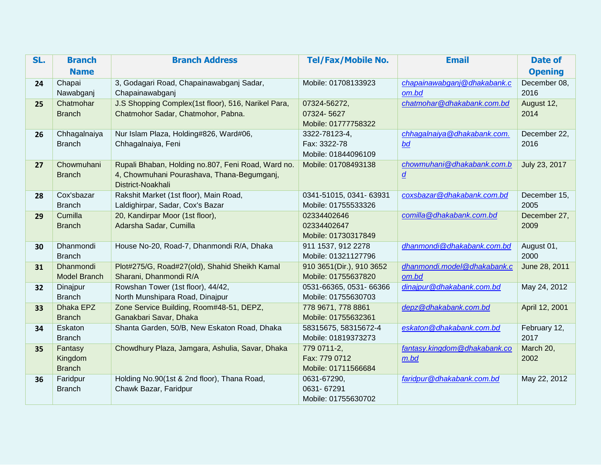| SL. | <b>Branch</b>            | <b>Branch Address</b>                                     | <b>Tel/Fax/Mobile No.</b>  | <b>Email</b>                 | <b>Date of</b>       |
|-----|--------------------------|-----------------------------------------------------------|----------------------------|------------------------------|----------------------|
|     | <b>Name</b>              |                                                           |                            |                              | <b>Opening</b>       |
| 24  | Chapai                   | 3, Godagari Road, Chapainawabganj Sadar,                  | Mobile: 01708133923        | chapainawabganj@dhakabank.c  | December 08,         |
|     | Nawabganj                | Chapainawabganj                                           |                            | om.bd                        | 2016                 |
| 25  | Chatmohar                | J.S Shopping Complex(1st floor), 516, Narikel Para,       | 07324-56272,               | chatmohar@dhakabank.com.bd   | August 12,           |
|     | <b>Branch</b>            | Chatmohor Sadar, Chatmohor, Pabna.                        | 07324-5627                 |                              | 2014                 |
|     |                          |                                                           | Mobile: 01777758322        |                              |                      |
| 26  | Chhagalnaiya             | Nur Islam Plaza, Holding#826, Ward#06,                    | 3322-78123-4,              | chhagalnaiya@dhakabank.com.  | December 22,         |
|     | <b>Branch</b>            | Chhagalnaiya, Feni                                        | Fax: 3322-78               | bd                           | 2016                 |
|     |                          |                                                           | Mobile: 01844096109        |                              |                      |
| 27  | Chowmuhani               | Rupali Bhaban, Holding no.807, Feni Road, Ward no.        | Mobile: 01708493138        | chowmuhani@dhakabank.com.b   | July 23, 2017        |
|     | <b>Branch</b>            | 4, Chowmuhani Pourashava, Thana-Begumganj,                |                            | $\underline{d}$              |                      |
|     |                          | District-Noakhali                                         |                            |                              |                      |
| 28  | Cox'sbazar               | Rakshit Market (1st floor), Main Road,                    | 0341-51015, 0341-63931     | coxsbazar@dhakabank.com.bd   | December 15,         |
|     | <b>Branch</b><br>Cumilla | Laldighirpar, Sadar, Cox's Bazar                          | Mobile: 01755533326        |                              | 2005                 |
| 29  | <b>Branch</b>            | 20, Kandirpar Moor (1st floor),<br>Adarsha Sadar, Cumilla | 02334402646<br>02334402647 | comilla@dhakabank.com.bd     | December 27,<br>2009 |
|     |                          |                                                           | Mobile: 01730317849        |                              |                      |
| 30  | Dhanmondi                | House No-20, Road-7, Dhanmondi R/A, Dhaka                 | 911 1537, 912 2278         | dhanmondi@dhakabank.com.bd   | August 01,           |
|     | <b>Branch</b>            |                                                           | Mobile: 01321127796        |                              | 2000                 |
| 31  | <b>Dhanmondi</b>         | Plot#275/G, Road#27(old), Shahid Sheikh Kamal             | 910 3651(Dir.), 910 3652   | dhanmondi.model@dhakabank.c  | June 28, 2011        |
|     | <b>Model Branch</b>      | Sharani, Dhanmondi R/A                                    | Mobile: 01755637820        | om.bd                        |                      |
| 32  | Dinajpur                 | Rowshan Tower (1st floor), 44/42,                         | 0531-66365, 0531-66366     | dinajpur@dhakabank.com.bd    | May 24, 2012         |
|     | <b>Branch</b>            | North Munshipara Road, Dinajpur                           | Mobile: 01755630703        |                              |                      |
| 33  | Dhaka EPZ                | Zone Service Building, Room#48-51, DEPZ,                  | 778 9671, 778 8861         | depz@dhakabank.com.bd        | April 12, 2001       |
|     | <b>Branch</b>            | Ganakbari Savar, Dhaka                                    | Mobile: 01755632361        |                              |                      |
| 34  | Eskaton                  | Shanta Garden, 50/B, New Eskaton Road, Dhaka              | 58315675, 58315672-4       | eskaton@dhakabank.com.bd     | February 12,         |
|     | <b>Branch</b>            |                                                           | Mobile: 01819373273        |                              | 2017                 |
| 35  | Fantasy                  | Chowdhury Plaza, Jamgara, Ashulia, Savar, Dhaka           | 779 0711-2,                | fantasy.kingdom@dhakabank.co | March 20,            |
|     | Kingdom                  |                                                           | Fax: 779 0712              | $m$ .bd                      | 2002                 |
|     | <b>Branch</b>            |                                                           | Mobile: 01711566684        |                              |                      |
| 36  | Faridpur                 | Holding No.90(1st & 2nd floor), Thana Road,               | 0631-67290,                | faridpur@dhakabank.com.bd    | May 22, 2012         |
|     | <b>Branch</b>            | Chawk Bazar, Faridpur                                     | 0631-67291                 |                              |                      |
|     |                          |                                                           | Mobile: 01755630702        |                              |                      |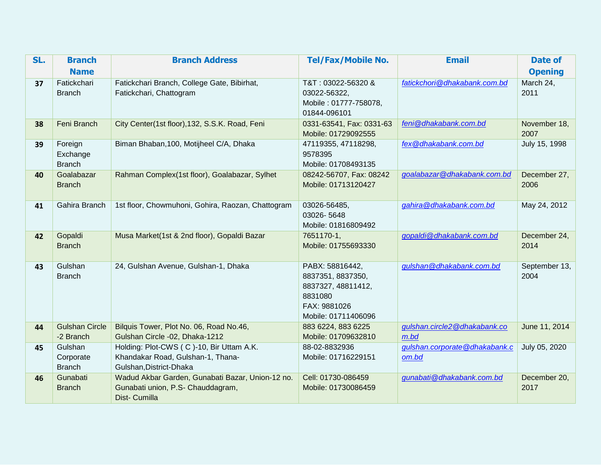| SL. | <b>Branch</b>                         | <b>Branch Address</b>                                                                                    | <b>Tel/Fax/Mobile No.</b>                                                                                    | <b>Email</b>                            | <b>Date of</b>        |
|-----|---------------------------------------|----------------------------------------------------------------------------------------------------------|--------------------------------------------------------------------------------------------------------------|-----------------------------------------|-----------------------|
|     | <b>Name</b>                           |                                                                                                          |                                                                                                              |                                         | <b>Opening</b>        |
| 37  | Fatickchari<br><b>Branch</b>          | Fatickchari Branch, College Gate, Bibirhat,<br>Fatickchari, Chattogram                                   | T&T: 03022-56320 &<br>03022-56322,<br>Mobile: 01777-758078,<br>01844-096101                                  | fatickchori@dhakabank.com.bd            | March 24,<br>2011     |
| 38  | Feni Branch                           | City Center(1st floor), 132, S.S.K. Road, Feni                                                           | 0331-63541, Fax: 0331-63<br>Mobile: 01729092555                                                              | feni@dhakabank.com.bd                   | November 18,<br>2007  |
| 39  | Foreign<br>Exchange<br><b>Branch</b>  | Biman Bhaban, 100, Motijheel C/A, Dhaka                                                                  | 47119355, 47118298,<br>9578395<br>Mobile: 01708493135                                                        | fex@dhakabank.com.bd                    | July 15, 1998         |
| 40  | Goalabazar<br><b>Branch</b>           | Rahman Complex(1st floor), Goalabazar, Sylhet                                                            | 08242-56707, Fax: 08242<br>Mobile: 01713120427                                                               | goalabazar@dhakabank.com.bd             | December 27,<br>2006  |
| 41  | Gahira Branch                         | 1st floor, Chowmuhoni, Gohira, Raozan, Chattogram                                                        | 03026-56485,<br>03026-5648<br>Mobile: 01816809492                                                            | gahira@dhakabank.com.bd                 | May 24, 2012          |
| 42  | Gopaldi<br><b>Branch</b>              | Musa Market(1st & 2nd floor), Gopaldi Bazar                                                              | 7651170-1,<br>Mobile: 01755693330                                                                            | gopaldi@dhakabank.com.bd                | December 24,<br>2014  |
| 43  | Gulshan<br><b>Branch</b>              | 24, Gulshan Avenue, Gulshan-1, Dhaka                                                                     | PABX: 58816442,<br>8837351, 8837350,<br>8837327, 48811412,<br>8831080<br>FAX: 9881026<br>Mobile: 01711406096 | gulshan @dhakabank.com.bd               | September 13,<br>2004 |
| 44  | <b>Gulshan Circle</b><br>-2 Branch    | Bilquis Tower, Plot No. 06, Road No.46,<br>Gulshan Circle -02, Dhaka-1212                                | 883 6224, 883 6225<br>Mobile: 01709632810                                                                    | gulshan.circle2@dhakabank.co<br>$m$ .bd | June 11, 2014         |
| 45  | Gulshan<br>Corporate<br><b>Branch</b> | Holding: Plot-CWS (C)-10, Bir Uttam A.K.<br>Khandakar Road, Gulshan-1, Thana-<br>Gulshan, District-Dhaka | 88-02-8832936<br>Mobile: 01716229151                                                                         | gulshan.corporate@dhakabank.c<br>om.bd  | July 05, 2020         |
| 46  | Gunabati<br><b>Branch</b>             | Wadud Akbar Garden, Gunabati Bazar, Union-12 no.<br>Gunabati union, P.S- Chauddagram,<br>Dist- Cumilla   | Cell: 01730-086459<br>Mobile: 01730086459                                                                    | gunabati@dhakabank.com.bd               | December 20,<br>2017  |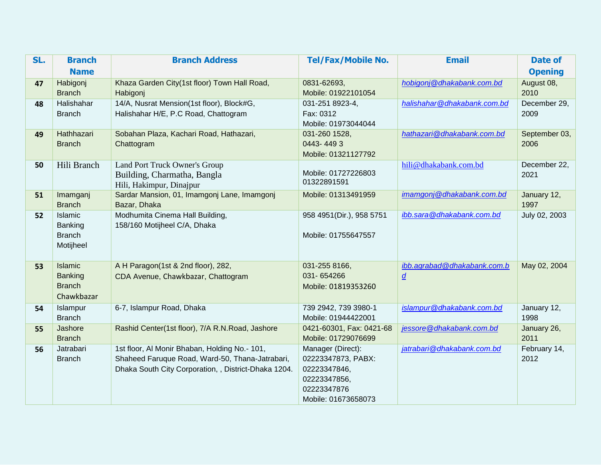| SL. | <b>Branch</b>             | <b>Branch Address</b>                                                   | <b>Tel/Fax/Mobile No.</b> | <b>Email</b>                | <b>Date of</b> |
|-----|---------------------------|-------------------------------------------------------------------------|---------------------------|-----------------------------|----------------|
|     | <b>Name</b>               |                                                                         |                           |                             | <b>Opening</b> |
| 47  | Habigonj                  | Khaza Garden City(1st floor) Town Hall Road,                            | 0831-62693,               | hobigonj@dhakabank.com.bd   | August 08,     |
|     | <b>Branch</b>             | Habigonj                                                                | Mobile: 01922101054       |                             | 2010           |
| 48  | Halishahar                | 14/A, Nusrat Mension(1st floor), Block#G,                               | 031-251 8923-4,           | halishahar@dhakabank.com.bd | December 29,   |
|     | <b>Branch</b>             | Halishahar H/E, P.C Road, Chattogram                                    | Fax: 0312                 |                             | 2009           |
|     |                           |                                                                         | Mobile: 01973044044       |                             |                |
| 49  | Hathhazari                | Sobahan Plaza, Kachari Road, Hathazari,                                 | 031-260 1528,             | hathazari@dhakabank.com.bd  | September 03,  |
|     | <b>Branch</b>             | Chattogram                                                              | 0443-4493                 |                             | 2006           |
|     |                           |                                                                         | Mobile: 01321127792       |                             |                |
| 50  | Hili Branch               | Land Port Truck Owner's Group                                           | Mobile: 01727226803       | hili@dhakabank.com.bd       | December 22,   |
|     |                           | Building, Charmatha, Bangla                                             | 01322891591               |                             | 2021           |
|     |                           | Hili, Hakimpur, Dinajpur<br>Sardar Mansion, 01, Imamgonj Lane, Imamgonj | Mobile: 01313491959       | imamgonj@dhakabank.com.bd   | January 12,    |
| 51  | Imamganj<br><b>Branch</b> | Bazar, Dhaka                                                            |                           |                             | 1997           |
| 52  | Islamic                   | Modhumita Cinema Hall Building,                                         | 958 4951(Dir.), 958 5751  | ibb.sara@dhakabank.com.bd   | July 02, 2003  |
|     | Banking                   | 158/160 Motijheel C/A, Dhaka                                            |                           |                             |                |
|     | <b>Branch</b>             |                                                                         | Mobile: 01755647557       |                             |                |
|     | Motijheel                 |                                                                         |                           |                             |                |
|     |                           |                                                                         |                           |                             |                |
| 53  | Islamic                   | A H Paragon(1st & 2nd floor), 282,                                      | 031-255 8166,             | ibb.agrabad@dhakabank.com.b | May 02, 2004   |
|     | Banking                   | CDA Avenue, Chawkbazar, Chattogram                                      | 031-654266                | $\underline{d}$             |                |
|     | <b>Branch</b>             |                                                                         | Mobile: 01819353260       |                             |                |
|     | Chawkbazar                |                                                                         |                           |                             |                |
| 54  | Islampur                  | 6-7, Islampur Road, Dhaka                                               | 739 2942, 739 3980-1      | islampur@dhakabank.com.bd   | January 12,    |
|     | <b>Branch</b>             |                                                                         | Mobile: 01944422001       |                             | 1998           |
| 55  | Jashore                   | Rashid Center(1st floor), 7/A R.N. Road, Jashore                        | 0421-60301, Fax: 0421-68  | jessore@dhakabank.com.bd    | January 26,    |
|     | <b>Branch</b>             |                                                                         | Mobile: 01729076699       |                             | 2011           |
| 56  | Jatrabari                 | 1st floor, Al Monir Bhaban, Holding No.- 101,                           | Manager (Direct):         | jatrabari@dhakabank.com.bd  | February 14,   |
|     | <b>Branch</b>             | Shaheed Faruque Road, Ward-50, Thana-Jatrabari,                         | 02223347873, PABX:        |                             | 2012           |
|     |                           | Dhaka South City Corporation, , District-Dhaka 1204.                    | 02223347846,              |                             |                |
|     |                           |                                                                         | 02223347856,              |                             |                |
|     |                           |                                                                         | 02223347876               |                             |                |
|     |                           |                                                                         | Mobile: 01673658073       |                             |                |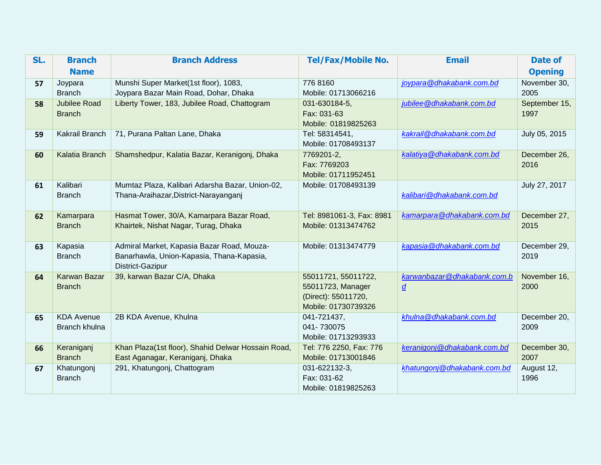| SL. | <b>Branch</b>                        | <b>Branch Address</b>                                                                                       | <b>Tel/Fax/Mobile No.</b>                                                              | <b>Email</b>                                   | <b>Date of</b>        |
|-----|--------------------------------------|-------------------------------------------------------------------------------------------------------------|----------------------------------------------------------------------------------------|------------------------------------------------|-----------------------|
|     | <b>Name</b>                          |                                                                                                             |                                                                                        |                                                | <b>Opening</b>        |
| 57  | Joypara<br><b>Branch</b>             | Munshi Super Market(1st floor), 1083,<br>Joypara Bazar Main Road, Dohar, Dhaka                              | 776 8160<br>Mobile: 01713066216                                                        | joypara@dhakabank.com.bd                       | November 30,<br>2005  |
| 58  | <b>Jubilee Road</b><br><b>Branch</b> | Liberty Tower, 183, Jubilee Road, Chattogram                                                                | 031-630184-5,<br>Fax: 031-63<br>Mobile: 01819825263                                    | jubilee@dhakabank.com.bd                       | September 15,<br>1997 |
| 59  | Kakrail Branch                       | 71, Purana Paltan Lane, Dhaka                                                                               | Tel: 58314541,<br>Mobile: 01708493137                                                  | kakrail@dhakabank.com.bd                       | July 05, 2015         |
| 60  | Kalatia Branch                       | Shamshedpur, Kalatia Bazar, Keranigonj, Dhaka                                                               | 7769201-2,<br>Fax: 7769203<br>Mobile: 01711952451                                      | kalatiya@dhakabank.com.bd                      | December 26,<br>2016  |
| 61  | Kalibari<br><b>Branch</b>            | Mumtaz Plaza, Kalibari Adarsha Bazar, Union-02,<br>Thana-Araihazar, District-Narayanganj                    | Mobile: 01708493139                                                                    | kalibari@dhakabank.com.bd                      | July 27, 2017         |
| 62  | Kamarpara<br><b>Branch</b>           | Hasmat Tower, 30/A, Kamarpara Bazar Road,<br>Khairtek, Nishat Nagar, Turag, Dhaka                           | Tel: 8981061-3, Fax: 8981<br>Mobile: 01313474762                                       | kamarpara@dhakabank.com.bd                     | December 27,<br>2015  |
| 63  | Kapasia<br><b>Branch</b>             | Admiral Market, Kapasia Bazar Road, Mouza-<br>Banarhawla, Union-Kapasia, Thana-Kapasia,<br>District-Gazipur | Mobile: 01313474779                                                                    | kapasia@dhakabank.com.bd                       | December 29,<br>2019  |
| 64  | Karwan Bazar<br><b>Branch</b>        | 39, karwan Bazar C/A, Dhaka                                                                                 | 55011721, 55011722,<br>55011723, Manager<br>(Direct): 55011720,<br>Mobile: 01730739326 | karwanbazar@dhakabank.com.b<br>$\underline{d}$ | November 16,<br>2000  |
| 65  | <b>KDA Avenue</b><br>Branch khulna   | 2B KDA Avenue, Khulna                                                                                       | 041-721437,<br>041-730075<br>Mobile: 01713293933                                       | khulna@dhakabank.com.bd                        | December 20,<br>2009  |
| 66  | Keraniganj<br><b>Branch</b>          | Khan Plaza(1st floor), Shahid Delwar Hossain Road,<br>East Aganagar, Keraniganj, Dhaka                      | Tel: 776 2250, Fax: 776<br>Mobile: 01713001846                                         | keranigonj@dhakabank.com.bd                    | December 30,<br>2007  |
| 67  | Khatungonj<br><b>Branch</b>          | 291, Khatungonj, Chattogram                                                                                 | 031-622132-3,<br>Fax: 031-62<br>Mobile: 01819825263                                    | khatungonj@dhakabank.com.bd                    | August 12,<br>1996    |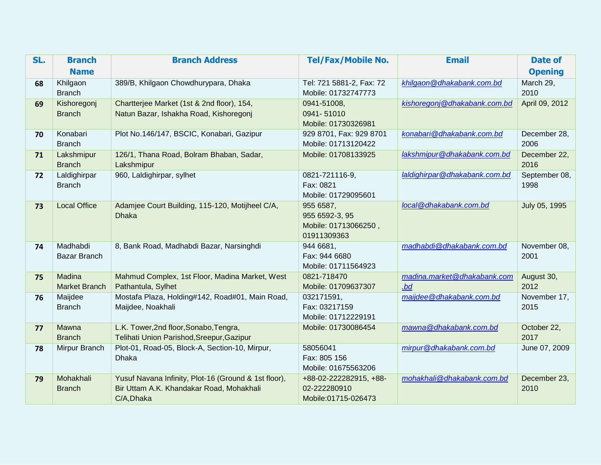| SL. | <b>Branch</b>                  | <b>Branch Address</b>                                                | <b>Tel/Fax/Mobile No.</b>          | <b>Email</b>                      | Date of            |
|-----|--------------------------------|----------------------------------------------------------------------|------------------------------------|-----------------------------------|--------------------|
|     | <b>Name</b>                    |                                                                      |                                    |                                   | <b>Opening</b>     |
| 68  | Khilgaon                       | 389/B, Khilgaon Chowdhurypara, Dhaka                                 | Tel: 721 5881-2, Fax: 72           | khilgaon@dhakabank.com.bd         | March 29,          |
|     | <b>Branch</b>                  |                                                                      | Mobile: 01732747773                |                                   | 2010               |
| 69  | Kishoregonj                    | Chartterjee Market (1st & 2nd floor), 154,                           | 0941-51008,                        | kishoregonj@dhakabank.com.bd      | April 09, 2012     |
|     | <b>Branch</b>                  | Natun Bazar, Ishakha Road, Kishoregonj                               | 0941-51010                         |                                   |                    |
|     |                                |                                                                      | Mobile: 01730326981                |                                   |                    |
| 70  | Konabari                       | Plot No.146/147, BSCIC, Konabari, Gazipur                            | 929 8701, Fax: 929 8701            | konabari@dhakabank.com.bd         | December 28,       |
|     | <b>Branch</b>                  |                                                                      | Mobile: 01713120422                |                                   | 2006               |
| 71  | Lakshmipur                     | 126/1, Thana Road, Bolram Bhaban, Sadar,                             | Mobile: 01708133925                | lakshmipur@dhakabank.com.bd       | December 22,       |
|     | <b>Branch</b>                  | Lakshmipur                                                           |                                    |                                   | 2016               |
| 72  | Laldighirpar                   | 960, Laldighirpar, sylhet                                            | 0821-721116-9,                     | laldighirpar@dhakabank.com.bd     | September 08,      |
|     | <b>Branch</b>                  |                                                                      | Fax: 0821                          |                                   | 1998               |
|     |                                |                                                                      | Mobile: 01729095601                |                                   |                    |
| 73  | <b>Local Office</b>            | Adamjee Court Building, 115-120, Motijheel C/A,                      | 955 6587,                          | local@dhakabank.com.bd            | July 05, 1995      |
|     |                                | <b>Dhaka</b>                                                         | 955 6592-3, 95                     |                                   |                    |
|     |                                |                                                                      | Mobile: 01713066250,               |                                   |                    |
|     |                                |                                                                      | 01911309363                        |                                   |                    |
| 74  | Madhabdi                       | 8, Bank Road, Madhabdi Bazar, Narsinghdi                             | 944 6681,                          | madhabdi@dhakabank.com.bd         | November 08,       |
|     | <b>Bazar Branch</b>            |                                                                      | Fax: 944 6680                      |                                   | 2001               |
|     |                                |                                                                      | Mobile: 01711564923                |                                   |                    |
| 75  | Madina<br><b>Market Branch</b> | Mahmud Complex, 1st Floor, Madina Market, West                       | 0821-718470<br>Mobile: 01709637307 | madina.market@dhakabank.com<br>bd | August 30,<br>2012 |
|     |                                | Pathantula, Sylhet                                                   | 032171591,                         |                                   | November 17,       |
| 76  | Maijdee<br><b>Branch</b>       | Mostafa Plaza, Holding#142, Road#01, Main Road,<br>Maijdee, Noakhali | Fax: 03217159                      | maijdee@dhakabank.com.bd          | 2015               |
|     |                                |                                                                      | Mobile: 01712229191                |                                   |                    |
| 77  | Mawna                          | L.K. Tower, 2nd floor, Sonabo, Tengra,                               | Mobile: 01730086454                | mawna@dhakabank.com.bd            | October 22,        |
|     | <b>Branch</b>                  | Telihati Union Parishod, Sreepur, Gazipur                            |                                    |                                   | 2017               |
| 78  | Mirpur Branch                  | Plot-01, Road-05, Block-A, Section-10, Mirpur,                       | 58056041                           | mirpur@dhakabank.com.bd           | June 07, 2009      |
|     |                                | <b>Dhaka</b>                                                         | Fax: 805 156                       |                                   |                    |
|     |                                |                                                                      | Mobile: 01675563206                |                                   |                    |
| 79  | Mohakhali                      | Yusuf Navana Infinity, Plot-16 (Ground & 1st floor),                 | +88-02-222282915, +88-             | mohakhali@dhakabank.com.bd        | December 23,       |
|     | <b>Branch</b>                  | Bir Uttam A.K. Khandakar Road, Mohakhali                             | 02-222280910                       |                                   | 2010               |
|     |                                | C/A, Dhaka                                                           | Mobile:01715-026473                |                                   |                    |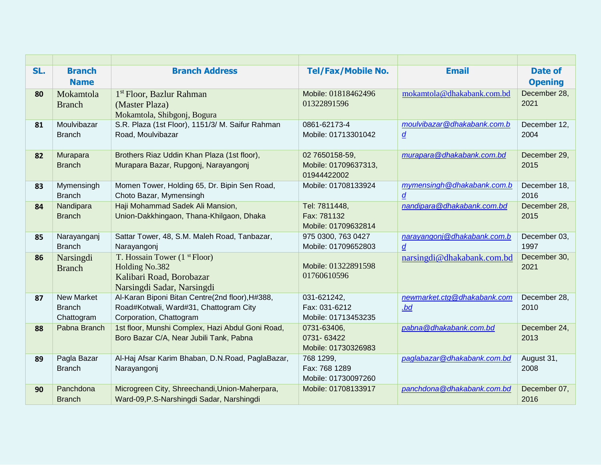| SL. | <b>Branch</b>     | <b>Branch Address</b>                            | <b>Tel/Fax/Mobile No.</b> | <b>Email</b>                | Date of        |
|-----|-------------------|--------------------------------------------------|---------------------------|-----------------------------|----------------|
|     | <b>Name</b>       |                                                  |                           |                             | <b>Opening</b> |
| 80  | Mokamtola         | 1 <sup>st</sup> Floor, Bazlur Rahman             | Mobile: 01818462496       | mokamtola@dhakabank.com.bd  | December 28,   |
|     | <b>Branch</b>     | (Master Plaza)                                   | 01322891596               |                             | 2021           |
|     |                   | Mokamtola, Shibgonj, Bogura                      |                           |                             |                |
| 81  | Moulvibazar       | S.R. Plaza (1st Floor), 1151/3/ M. Saifur Rahman | 0861-62173-4              | moulvibazar@dhakabank.com.b | December 12,   |
|     | <b>Branch</b>     | Road, Moulvibazar                                | Mobile: 01713301042       | $\underline{d}$             | 2004           |
|     |                   |                                                  |                           |                             |                |
| 82  | Murapara          | Brothers Riaz Uddin Khan Plaza (1st floor),      | 02 7650158-59,            | murapara@dhakabank.com.bd   | December 29,   |
|     | <b>Branch</b>     | Murapara Bazar, Rupgonj, Narayangonj             | Mobile: 01709637313,      |                             | 2015           |
|     |                   |                                                  | 01944422002               |                             |                |
| 83  | Mymensingh        | Momen Tower, Holding 65, Dr. Bipin Sen Road,     | Mobile: 01708133924       | mymensingh@dhakabank.com.b  | December 18,   |
|     | <b>Branch</b>     | Choto Bazar, Mymensingh                          |                           | $\underline{d}$             | 2016           |
| 84  | Nandipara         | Haji Mohammad Sadek Ali Mansion,                 | Tel: 7811448,             | nandipara@dhakabank.com.bd  | December 28,   |
|     | <b>Branch</b>     | Union-Dakkhingaon, Thana-Khilgaon, Dhaka         | Fax: 781132               |                             | 2015           |
|     |                   |                                                  | Mobile: 01709632814       |                             |                |
| 85  | Narayanganj       | Sattar Tower, 48, S.M. Maleh Road, Tanbazar,     | 975 0300, 763 0427        | narayangonj@dhakabank.com.b | December 03,   |
|     | <b>Branch</b>     | Narayangonj                                      | Mobile: 01709652803       | $\boldsymbol{d}$            | 1997           |
| 86  | Narsingdi         | T. Hossain Tower (1 <sup>st</sup> Floor)         |                           | narsingdi@dhakabank.com.bd  | December 30,   |
|     | <b>Branch</b>     | Holding No.382                                   | Mobile: 01322891598       |                             | 2021           |
|     |                   | Kalibari Road, Borobazar                         | 01760610596               |                             |                |
|     |                   | Narsingdi Sadar, Narsingdi                       |                           |                             |                |
| 87  | <b>New Market</b> | Al-Karan Biponi Bitan Centre(2nd floor), H#388,  | 031-621242,               | newmarket.ctg@dhakabank.com | December 28,   |
|     | <b>Branch</b>     | Road#Kotwali, Ward#31, Chattogram City           | Fax: 031-6212             | bd                          | 2010           |
|     | Chattogram        | Corporation, Chattogram                          | Mobile: 01713453235       |                             |                |
| 88  | Pabna Branch      | 1st floor, Munshi Complex, Hazi Abdul Goni Road, | 0731-63406,               | pabna@dhakabank.com.bd      | December 24,   |
|     |                   | Boro Bazar C/A, Near Jubili Tank, Pabna          | 0731-63422                |                             | 2013           |
|     |                   |                                                  | Mobile: 01730326983       |                             |                |
| 89  | Pagla Bazar       | Al-Haj Afsar Karim Bhaban, D.N.Road, PaglaBazar, | 768 1299,                 | paglabazar@dhakabank.com.bd | August 31,     |
|     | <b>Branch</b>     | Narayangonj                                      | Fax: 768 1289             |                             | 2008           |
|     |                   |                                                  | Mobile: 01730097260       |                             |                |
| 90  | Panchdona         | Microgreen City, Shreechandi, Union-Maherpara,   | Mobile: 01708133917       | panchdona@dhakabank.com.bd  | December 07,   |
|     | <b>Branch</b>     | Ward-09, P.S-Narshingdi Sadar, Narshingdi        |                           |                             | 2016           |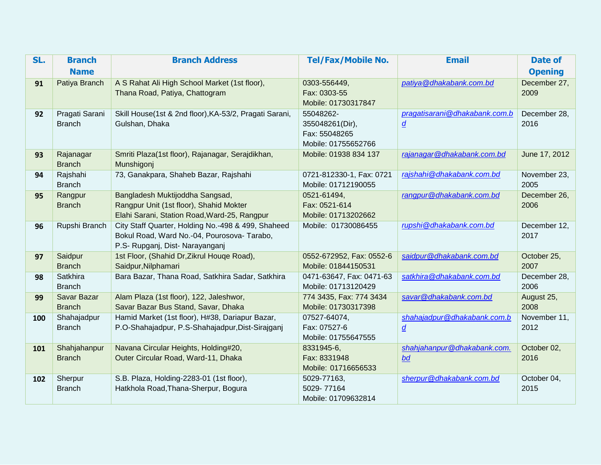| SL. | <b>Branch</b>              | <b>Branch Address</b>                                          | <b>Tel/Fax/Mobile No.</b>    | <b>Email</b>                  | <b>Date of</b> |
|-----|----------------------------|----------------------------------------------------------------|------------------------------|-------------------------------|----------------|
|     | <b>Name</b>                |                                                                |                              |                               | <b>Opening</b> |
| 91  | Patiya Branch              | A S Rahat Ali High School Market (1st floor),                  | 0303-556449,                 | patiya@dhakabank.com.bd       | December 27,   |
|     |                            | Thana Road, Patiya, Chattogram                                 | Fax: 0303-55                 |                               | 2009           |
|     |                            |                                                                | Mobile: 01730317847          |                               |                |
| 92  | Pragati Sarani             | Skill House(1st & 2nd floor), KA-53/2, Pragati Sarani,         | 55048262-                    | pragatisarani@dhakabank.com.b | December 28,   |
|     | <b>Branch</b>              | Gulshan, Dhaka                                                 | 355048261(Dir),              | $\underline{d}$               | 2016           |
|     |                            |                                                                | Fax: 55048265                |                               |                |
|     |                            |                                                                | Mobile: 01755652766          |                               |                |
| 93  | Rajanagar<br><b>Branch</b> | Smriti Plaza(1st floor), Rajanagar, Serajdikhan,<br>Munshigonj | Mobile: 01938 834 137        | rajanagar@dhakabank.com.bd    | June 17, 2012  |
| 94  | Rajshahi                   | 73, Ganakpara, Shaheb Bazar, Rajshahi                          | 0721-812330-1, Fax: 0721     | rajshahi@dhakabank.com.bd     | November 23,   |
|     | <b>Branch</b>              |                                                                | Mobile: 01712190055          |                               | 2005           |
| 95  | Rangpur                    | Bangladesh Muktijoddha Sangsad,                                | 0521-61494,                  | rangpur@dhakabank.com.bd      | December 26,   |
|     | <b>Branch</b>              | Rangpur Unit (1st floor), Shahid Mokter                        | Fax: 0521-614                |                               | 2006           |
|     |                            | Elahi Sarani, Station Road, Ward-25, Rangpur                   | Mobile: 01713202662          |                               |                |
| 96  | Rupshi Branch              | City Staff Quarter, Holding No.-498 & 499, Shaheed             | Mobile: 01730086455          | rupshi@dhakabank.com.bd       | December 12,   |
|     |                            | Bokul Road, Ward No.-04, Pourosova- Tarabo,                    |                              |                               | 2017           |
|     |                            | P.S- Rupganj, Dist- Narayanganj                                |                              |                               |                |
| 97  | Saidpur                    | 1st Floor, (Shahid Dr, Zikrul Houge Road),                     | 0552-672952, Fax: 0552-6     | saidpur@dhakabank.com.bd      | October 25,    |
|     | <b>Branch</b>              | Saidpur, Nilphamari                                            | Mobile: 01844150531          |                               | 2007           |
| 98  | Satkhira                   | Bara Bazar, Thana Road, Satkhira Sadar, Satkhira               | 0471-63647, Fax: 0471-63     | satkhira@dhakabank.com.bd     | December 28,   |
|     | <b>Branch</b>              |                                                                | Mobile: 01713120429          |                               | 2006           |
| 99  | Savar Bazar                | Alam Plaza (1st floor), 122, Jaleshwor,                        | 774 3435, Fax: 774 3434      | savar@dhakabank.com.bd        | August 25,     |
|     | <b>Branch</b>              | Savar Bazar Bus Stand, Savar, Dhaka                            | Mobile: 01730317398          |                               | 2008           |
| 100 | Shahajadpur                | Hamid Market (1st floor), H#38, Dariapur Bazar,                | 07527-64074,<br>Fax: 07527-6 | shahajadpur@dhakabank.com.b   | November 11,   |
|     | <b>Branch</b>              | P.O-Shahajadpur, P.S-Shahajadpur, Dist-Sirajganj               | Mobile: 01755647555          | $\underline{d}$               | 2012           |
| 101 | Shahjahanpur               | Navana Circular Heights, Holding#20,                           | 8331945-6,                   | shahjahanpur@dhakabank.com.   | October 02,    |
|     | <b>Branch</b>              | Outer Circular Road, Ward-11, Dhaka                            | Fax: 8331948                 | bd                            | 2016           |
|     |                            |                                                                | Mobile: 01716656533          |                               |                |
| 102 | Sherpur                    | S.B. Plaza, Holding-2283-01 (1st floor),                       | 5029-77163,                  | sherpur@dhakabank.com.bd      | October 04,    |
|     | <b>Branch</b>              | Hatkhola Road, Thana-Sherpur, Bogura                           | 5029-77164                   |                               | 2015           |
|     |                            |                                                                | Mobile: 01709632814          |                               |                |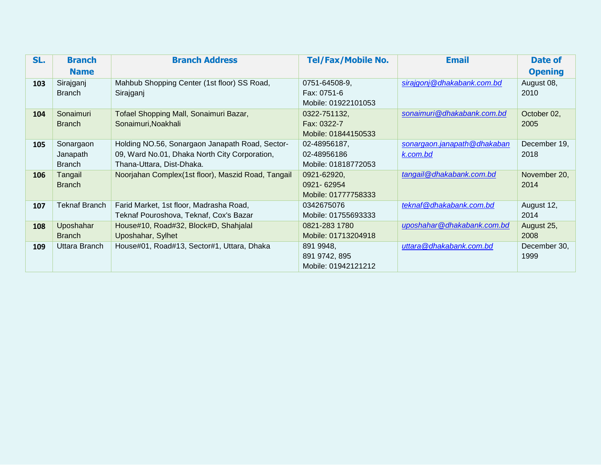| SL. | <b>Branch</b>        | <b>Branch Address</b>                               | <b>Tel/Fax/Mobile No.</b> | <b>Email</b>                | Date of        |
|-----|----------------------|-----------------------------------------------------|---------------------------|-----------------------------|----------------|
|     | <b>Name</b>          |                                                     |                           |                             | <b>Opening</b> |
| 103 | Sirajganj            | Mahbub Shopping Center (1st floor) SS Road,         | 0751-64508-9,             | sirajgonj@dhakabank.com.bd  | August 08,     |
|     | <b>Branch</b>        | Sirajganj                                           | Fax: 0751-6               |                             | 2010           |
|     |                      |                                                     | Mobile: 01922101053       |                             |                |
| 104 | Sonaimuri            | Tofael Shopping Mall, Sonaimuri Bazar,              | 0322-751132,              | sonaimuri@dhakabank.com.bd  | October 02,    |
|     | <b>Branch</b>        | Sonaimuri, Noakhali                                 | Fax: 0322-7               |                             | 2005           |
|     |                      |                                                     | Mobile: 01844150533       |                             |                |
| 105 | Sonargaon            | Holding NO.56, Sonargaon Janapath Road, Sector-     | 02-48956187,              | sonargaon.janapath@dhakaban | December 19,   |
|     | Janapath             | 09, Ward No.01, Dhaka North City Corporation,       | 02-48956186               | k.com.bd                    | 2018           |
|     | <b>Branch</b>        | Thana-Uttara, Dist-Dhaka.                           | Mobile: 01818772053       |                             |                |
| 106 | Tangail              | Noorjahan Complex (1st floor), Maszid Road, Tangail | 0921-62920,               | tangail@dhakabank.com.bd    | November 20,   |
|     | <b>Branch</b>        |                                                     | 0921-62954                |                             | 2014           |
|     |                      |                                                     | Mobile: 01777758333       |                             |                |
| 107 | <b>Teknaf Branch</b> | Farid Market, 1st floor, Madrasha Road,             | 0342675076                | teknaf@dhakabank.com.bd     | August 12,     |
|     |                      | Teknaf Pouroshova, Teknaf, Cox's Bazar              | Mobile: 01755693333       |                             | 2014           |
| 108 | Uposhahar            | House#10, Road#32, Block#D, Shahjalal               | 0821-283 1780             | uposhahar@dhakabank.com.bd  | August 25,     |
|     | <b>Branch</b>        | Uposhahar, Sylhet                                   | Mobile: 01713204918       |                             | 2008           |
| 109 | Uttara Branch        | House#01, Road#13, Sector#1, Uttara, Dhaka          | 891 9948,                 | uttara@dhakabank.com.bd     | December 30,   |
|     |                      |                                                     | 891 9742, 895             |                             | 1999           |
|     |                      |                                                     | Mobile: 01942121212       |                             |                |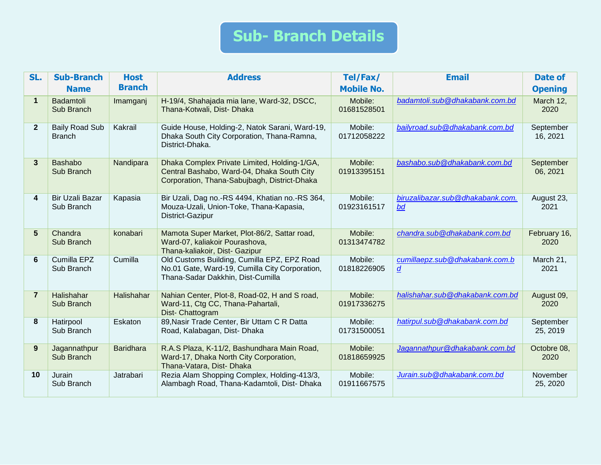## **Sub- Branch Details**

| SL.            | <b>Sub-Branch</b>                      | <b>Host</b>      | <b>Address</b>                                                                                                                             | Tel/Fax/               | <b>Email</b>                                     | <b>Date of</b>        |
|----------------|----------------------------------------|------------------|--------------------------------------------------------------------------------------------------------------------------------------------|------------------------|--------------------------------------------------|-----------------------|
|                | <b>Name</b>                            | <b>Branch</b>    |                                                                                                                                            | <b>Mobile No.</b>      |                                                  | <b>Opening</b>        |
| $\mathbf{1}$   | Badamtoli<br>Sub Branch                | Imamganj         | H-19/4, Shahajada mia lane, Ward-32, DSCC,<br>Thana-Kotwali, Dist- Dhaka                                                                   | Mobile:<br>01681528501 | badamtoli.sub@dhakabank.com.bd                   | March 12,<br>2020     |
| $\overline{2}$ | <b>Baily Road Sub</b><br><b>Branch</b> | Kakrail          | Guide House, Holding-2, Natok Sarani, Ward-19,<br>Dhaka South City Corporation, Thana-Ramna,<br>District-Dhaka.                            | Mobile:<br>01712058222 | bailyroad.sub@dhakabank.com.bd                   | September<br>16, 2021 |
| 3              | <b>Bashabo</b><br>Sub Branch           | Nandipara        | Dhaka Complex Private Limited, Holding-1/GA,<br>Central Bashabo, Ward-04, Dhaka South City<br>Corporation, Thana-Sabujbagh, District-Dhaka | Mobile:<br>01913395151 | bashabo.sub@dhakabank.com.bd                     | September<br>06, 2021 |
| 4              | Bir Uzali Bazar<br>Sub Branch          | Kapasia          | Bir Uzali, Dag no.-RS 4494, Khatian no.-RS 364,<br>Mouza-Uzali, Union-Toke, Thana-Kapasia,<br>District-Gazipur                             | Mobile:<br>01923161517 | biruzalibazar.sub@dhakabank.com.<br>bd           | August 23,<br>2021    |
| 5              | Chandra<br>Sub Branch                  | konabari         | Mamota Super Market, Plot-86/2, Sattar road,<br>Ward-07, kaliakoir Pourashova,<br>Thana-kaliakoir, Dist- Gazipur                           | Mobile:<br>01313474782 | chandra.sub@dhakabank.com.bd                     | February 16,<br>2020  |
| 6              | Cumilla EPZ<br>Sub Branch              | Cumilla          | Old Customs Building, Cumilla EPZ, EPZ Road<br>No.01 Gate, Ward-19, Cumilla City Corporation,<br>Thana-Sadar Dakkhin, Dist-Cumilla         | Mobile:<br>01818226905 | cumillaepz.sub@dhakabank.com.b<br>$\overline{d}$ | March 21,<br>2021     |
| $\overline{7}$ | Halishahar<br>Sub Branch               | Halishahar       | Nahian Center, Plot-8, Road-02, H and S road,<br>Ward-11, Ctg CC, Thana-Pahartali,<br>Dist- Chattogram                                     | Mobile:<br>01917336275 | halishahar.sub@dhakabank.com.bd                  | August 09,<br>2020    |
| 8              | Hatirpool<br>Sub Branch                | Eskaton          | 89, Nasir Trade Center, Bir Uttam C R Datta<br>Road, Kalabagan, Dist- Dhaka                                                                | Mobile:<br>01731500051 | hatirpul.sub@dhakabank.com.bd                    | September<br>25, 2019 |
| 9              | Jagannathpur<br>Sub Branch             | <b>Baridhara</b> | R.A.S Plaza, K-11/2, Bashundhara Main Road,<br>Ward-17, Dhaka North City Corporation,<br>Thana-Vatara, Dist- Dhaka                         | Mobile:<br>01818659925 | Jagannathpur@dhakabank.com.bd                    | Octobre 08,<br>2020   |
| 10             | Jurain<br>Sub Branch                   | Jatrabari        | Rezia Alam Shopping Complex, Holding-413/3,<br>Alambagh Road, Thana-Kadamtoli, Dist- Dhaka                                                 | Mobile:<br>01911667575 | Jurain.sub@dhakabank.com.bd                      | November<br>25, 2020  |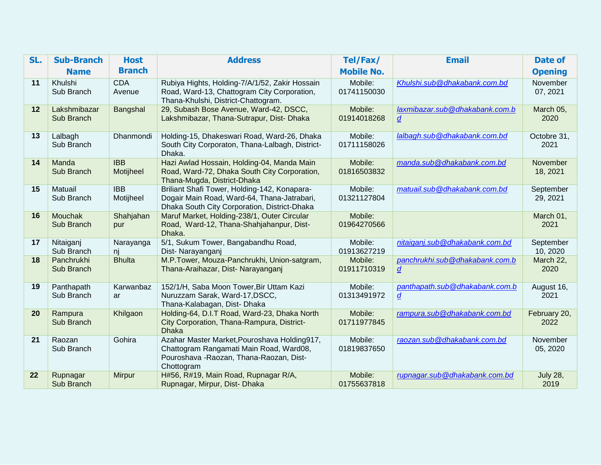| SL. | <b>Sub-Branch</b>            | <b>Host</b>             | <b>Address</b>                                                                                                                                    | Tel/Fax/               | <b>Email</b>                                       | <b>Date of</b>          |
|-----|------------------------------|-------------------------|---------------------------------------------------------------------------------------------------------------------------------------------------|------------------------|----------------------------------------------------|-------------------------|
|     | <b>Name</b>                  | <b>Branch</b>           |                                                                                                                                                   | <b>Mobile No.</b>      |                                                    | <b>Opening</b>          |
| 11  | Khulshi<br>Sub Branch        | <b>CDA</b><br>Avenue    | Rubiya Hights, Holding-7/A/1/52, Zakir Hossain<br>Road, Ward-13, Chattogram City Corporation,<br>Thana-Khulshi, District-Chattogram.              | Mobile:<br>01741150030 | Khulshi.sub@dhakabank.com.bd                       | November<br>07, 2021    |
| 12  | Lakshmibazar<br>Sub Branch   | Bangshal                | 29, Subash Bose Avenue, Ward-42, DSCC,<br>Lakshmibazar, Thana-Sutrapur, Dist- Dhaka                                                               | Mobile:<br>01914018268 | laxmibazar.sub@dhakabank.com.b<br>$\overline{d}$   | March 05,<br>2020       |
| 13  | Lalbagh<br>Sub Branch        | Dhanmondi               | Holding-15, Dhakeswari Road, Ward-26, Dhaka<br>South City Corporaton, Thana-Lalbagh, District-<br>Dhaka.                                          | Mobile:<br>01711158026 | lalbagh.sub@dhakabank.com.bd                       | Octobre 31,<br>2021     |
| 14  | Manda<br>Sub Branch          | <b>IBB</b><br>Motijheel | Hazi Awlad Hossain, Holding-04, Manda Main<br>Road, Ward-72, Dhaka South City Corporation,<br>Thana-Mugda, District-Dhaka                         | Mobile:<br>01816503832 | manda.sub@dhakabank.com.bd                         | November<br>18, 2021    |
| 15  | Matuail<br>Sub Branch        | <b>IBB</b><br>Motijheel | Briliant Shafi Tower, Holding-142, Konapara-<br>Dogair Main Road, Ward-64, Thana-Jatrabari,<br>Dhaka South City Corporation, District-Dhaka       | Mobile:<br>01321127804 | matuail.sub@dhakabank.com.bd                       | September<br>29, 2021   |
| 16  | <b>Mouchak</b><br>Sub Branch | Shahjahan<br>pur        | Maruf Market, Holding-238/1, Outer Circular<br>Road, Ward-12, Thana-Shahjahanpur, Dist-<br>Dhaka.                                                 | Mobile:<br>01964270566 |                                                    | March 01,<br>2021       |
| 17  | Nitaiganj<br>Sub Branch      | Narayanga<br>nj         | 5/1, Sukum Tower, Bangabandhu Road,<br>Dist- Narayanganj                                                                                          | Mobile:<br>01913627219 | nitaiganj.sub@dhakabank.com.bd                     | September<br>10, 2020   |
| 18  | Panchrukhi<br>Sub Branch     | <b>Bhulta</b>           | M.P.Tower, Mouza-Panchrukhi, Union-satgram,<br>Thana-Araihazar, Dist- Narayanganj                                                                 | Mobile:<br>01911710319 | panchrukhi.sub@dhakabank.com.b<br>$\boldsymbol{d}$ | March 22,<br>2020       |
| 19  | Panthapath<br>Sub Branch     | Karwanbaz<br>ar         | 152/1/H, Saba Moon Tower, Bir Uttam Kazi<br>Nuruzzam Sarak, Ward-17, DSCC,<br>Thana-Kalabagan, Dist- Dhaka                                        | Mobile:<br>01313491972 | panthapath.sub@dhakabank.com.b<br>$\overline{d}$   | August 16,<br>2021      |
| 20  | Rampura<br>Sub Branch        | Khilgaon                | Holding-64, D.I.T Road, Ward-23, Dhaka North<br>City Corporation, Thana-Rampura, District-<br><b>Dhaka</b>                                        | Mobile:<br>01711977845 | rampura.sub@dhakabank.com.bd                       | February 20,<br>2022    |
| 21  | Raozan<br>Sub Branch         | Gohira                  | Azahar Master Market, Pouroshava Holding917,<br>Chattogram Rangamati Main Road, Ward08,<br>Pouroshava - Raozan, Thana-Raozan, Dist-<br>Chottogram | Mobile:<br>01819837650 | raozan.sub@dhakabank.com.bd                        | November<br>05, 2020    |
| 22  | Rupnagar<br>Sub Branch       | <b>Mirpur</b>           | H#56, R#19, Main Road, Rupnagar R/A,<br>Rupnagar, Mirpur, Dist- Dhaka                                                                             | Mobile:<br>01755637818 | rupnagar.sub@dhakabank.com.bd                      | <b>July 28,</b><br>2019 |